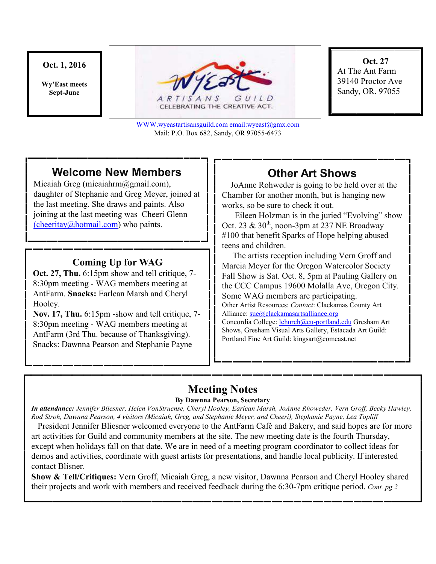### **Oct. 1, 2016**

**Wy'East meets Sept-June** 



CELEBRATING THE CREATIVE ACT.

WWW.wyeastartisansguild.com email:wyeast@gmx.com Mail: P.O. Box 682, Sandy, OR 97055-6473

**Oct. 27**  At The Ant Farm 39140 Proctor Ave Sandy, OR. 97055

# **Welcome New Members**

Micaiah Greg (micaiahrm@gmail.com), daughter of Stephanie and Greg Meyer, joined at the last meeting. She draws and paints. Also joining at the last meeting was Cheeri Glenn (cheeritay@hotmail.com) who paints.

### **Coming Up for WAG**

**Oct. 27, Thu.** 6:15pm show and tell critique, 7- 8:30pm meeting - WAG members meeting at AntFarm. **Snacks:** Earlean Marsh and Cheryl Hooley.

**Nov. 17, Thu.** 6:15pm -show and tell critique, 7- 8:30pm meeting - WAG members meeting at AntFarm (3rd Thu. because of Thanksgiving). Snacks: Dawnna Pearson and Stephanie Payne

## **Other Art Shows**

JoAnne Rohweder is going to be held over at the Chamber for another month, but is hanging new works, so be sure to check it out.

 Eileen Holzman is in the juried "Evolving" show Oct. 23 &  $30<sup>th</sup>$ , noon-3pm at 237 NE Broadway #100 that benefit Sparks of Hope helping abused teens and children.

 The artists reception including Vern Groff and Marcia Meyer for the Oregon Watercolor Society Fall Show is Sat. Oct. 8, 5pm at Pauling Gallery on the CCC Campus 19600 Molalla Ave, Oregon City. Some WAG members are participating. Other Artist Resources: *Contact*: Clackamas County Art Alliance: sue@clackamasartsalliance.org Concordia College: lchurch@cu-portland.edu Gresham Art Shows, Gresham Visual Arts Gallery, Estacada Art Guild: Portland Fine Art Guild: kingsart@comcast.net

# **Meeting Notes**

### **By Dawnna Pearson, Secretary**

*In attendance: Jennifer Bliesner, Helen VonStruense, Cheryl Hooley, Earlean Marsh, JoAnne Rhoweder, Vern Groff, Becky Hawley, Rod Stroh, Dawnna Pearson, 4 visitors (Micaiah, Greg, and Stephanie Meyer, and Cheeri), Stephanie Payne, Lea Topliff* 

 President Jennifer Bliesner welcomed everyone to the AntFarm Café and Bakery, and said hopes are for more art activities for Guild and community members at the site. The new meeting date is the fourth Thursday, except when holidays fall on that date. We are in need of a meeting program coordinator to collect ideas for demos and activities, coordinate with guest artists for presentations, and handle local publicity. If interested contact Blisner.

**Show & Tell/Critiques:** Vern Groff, Micaiah Greg, a new visitor, Dawnna Pearson and Cheryl Hooley shared their projects and work with members and received feedback during the 6:30-7pm critique period. *Cont. pg 2*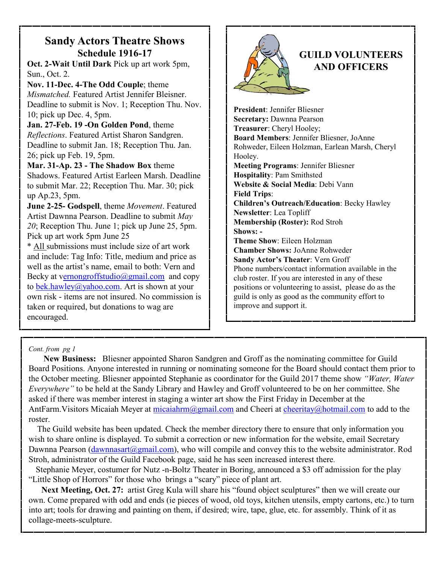## **Sandy Actors Theatre Shows Schedule 1916-17**

**Oct. 2-Wait Until Dark** Pick up art work 5pm, Sun., Oct. 2.

**Nov. 11-Dec. 4-The Odd Couple**; theme *Mismatched.* Featured Artist Jennifer Bleisner. Deadline to submit is Nov. 1; Reception Thu. Nov. 10; pick up Dec. 4, 5pm.

**Jan. 27-Feb. 19 -On Golden Pond**, theme *Reflections*. Featured Artist Sharon Sandgren. Deadline to submit Jan. 18; Reception Thu. Jan. 26; pick up Feb. 19, 5pm.

**Mar. 31-Ap. 23 - The Shadow Box** theme Shadows. Featured Artist Earleen Marsh. Deadline to submit Mar. 22; Reception Thu. Mar. 30; pick up Ap.23, 5pm.

**June 2-25- Godspell**, theme *Movement*. Featured Artist Dawnna Pearson. Deadline to submit *May 20*; Reception Thu. June 1; pick up June 25, 5pm. Pick up art work 5pm June 25

\* All submissions must include size of art work and include: Tag Info: Title, medium and price as well as the artist's name, email to both: Vern and Becky at vernongroffstudio@gmail.com and copy to bek.hawley@yahoo.com. Art is shown at your own risk - items are not insured. No commission is taken or required, but donations to wag are encouraged.



**President**: Jennifer Bliesner **Secretary:** Dawnna Pearson **Treasurer**: Cheryl Hooley; **Board Members**: Jennifer Bliesner, JoAnne Rohweder, Eileen Holzman, Earlean Marsh, Cheryl Hooley. **Meeting Programs**: Jennifer Bliesner **Hospitality**: Pam Smithsted **Website & Social Media**: Debi Vann **Field Trips**: **Children's Outreach/Education**: Becky Hawley **Newsletter**: Lea Topliff **Membership (Roster):** Rod Stroh **Shows: - Theme Show**: Eileen Holzman **Chamber Shows:** JoAnne Rohweder **Sandy Actor's Theater**: Vern Groff Phone numbers/contact information available in the club roster. If you are interested in any of these positions or volunteering to assist, please do as the guild is only as good as the community effort to improve and support it.

### *Cont. from pg 1*

 **New Business:** Bliesner appointed Sharon Sandgren and Groff as the nominating committee for Guild Board Positions. Anyone interested in running or nominating someone for the Board should contact them prior to the October meeting. Bliesner appointed Stephanie as coordinator for the Guild 2017 theme show *"Water, Water Everywhere"* to be held at the Sandy Library and Hawley and Groff volunteered to be on her committee. She asked if there was member interest in staging a winter art show the First Friday in December at the AntFarm.Visitors Micaiah Meyer at micaiahrm@gmail.com and Cheeri at cheeritay@hotmail.com to add to the roster.

 The Guild website has been updated. Check the member directory there to ensure that only information you wish to share online is displayed. To submit a correction or new information for the website, email Secretary Dawnna Pearson (dawnnasart@gmail.com), who will compile and convey this to the website administrator. Rod Stroh, administrator of the Guild Facebook page, said he has seen increased interest there.

 Stephanie Meyer, costumer for Nutz -n-Boltz Theater in Boring, announced a \$3 off admission for the play "Little Shop of Horrors" for those who brings a "scary" piece of plant art.

**Next Meeting, Oct. 27:** artist Greg Kula will share his "found object sculptures" then we will create our own. Come prepared with odd and ends (ie pieces of wood, old toys, kitchen utensils, empty cartons, etc.) to turn into art; tools for drawing and painting on them, if desired; wire, tape, glue, etc. for assembly. Think of it as collage-meets-sculpture.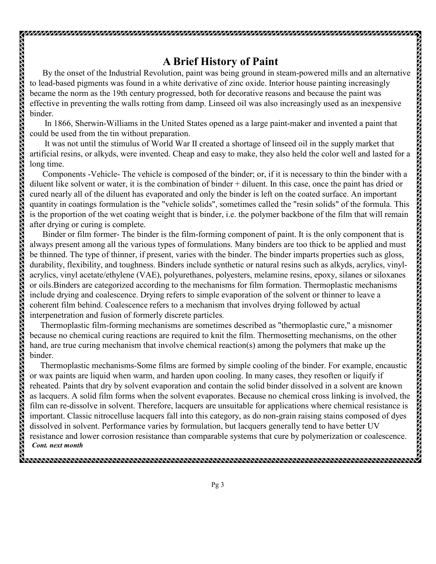## **A Brief History of Paint**

 By the onset of the Industrial Revolution, paint was being ground in steam-powered mills and an alternative to lead-based pigments was found in a white derivative of zinc oxide. Interior house painting increasingly became the norm as the 19th century progressed, both for decorative reasons and because the paint was effective in preventing the walls rotting from damp. Linseed oil was also increasingly used as an inexpensive binder.

 In 1866, Sherwin-Williams in the United States opened as a large paint-maker and invented a paint that could be used from the tin without preparation.

 It was not until the stimulus of World War II created a shortage of linseed oil in the supply market that artificial resins, or alkyds, were invented. Cheap and easy to make, they also held the color well and lasted for a long time.

 Components -Vehicle- The vehicle is composed of the binder; or, if it is necessary to thin the binder with a diluent like solvent or water, it is the combination of binder + diluent. In this case, once the paint has dried or cured nearly all of the diluent has evaporated and only the binder is left on the coated surface. An important quantity in coatings formulation is the "vehicle solids", sometimes called the "resin solids" of the formula. This is the proportion of the wet coating weight that is binder, i.e. the polymer backbone of the film that will remain after drying or curing is complete.

 Binder or film former- The binder is the film-forming component of paint. It is the only component that is always present among all the various types of formulations. Many binders are too thick to be applied and must be thinned. The type of thinner, if present, varies with the binder. The binder imparts properties such as gloss, durability, flexibility, and toughness. Binders include synthetic or natural resins such as alkyds, acrylics, vinylacrylics, vinyl acetate/ethylene (VAE), polyurethanes, polyesters, melamine resins, epoxy, silanes or siloxanes or oils.Binders are categorized according to the mechanisms for film formation. Thermoplastic mechanisms include drying and coalescence. Drying refers to simple evaporation of the solvent or thinner to leave a coherent film behind. Coalescence refers to a mechanism that involves drying followed by actual interpenetration and fusion of formerly discrete particles.

 Thermoplastic film-forming mechanisms are sometimes described as "thermoplastic cure," a misnomer because no chemical curing reactions are required to knit the film. Thermosetting mechanisms, on the other hand, are true curing mechanism that involve chemical reaction(s) among the polymers that make up the binder.

 Thermoplastic mechanisms-Some films are formed by simple cooling of the binder. For example, encaustic or wax paints are liquid when warm, and harden upon cooling. In many cases, they resoften or liquify if reheated. Paints that dry by solvent evaporation and contain the solid binder dissolved in a solvent are known as lacquers. A solid film forms when the solvent evaporates. Because no chemical cross linking is involved, the film can re-dissolve in solvent. Therefore, lacquers are unsuitable for applications where chemical resistance is important. Classic nitrocelluse lacquers fall into this category, as do non-grain raising stains composed of dyes dissolved in solvent. Performance varies by formulation, but lacquers generally tend to have better UV resistance and lower corrosion resistance than comparable systems that cure by polymerization or coalescence. *Cont. next month*